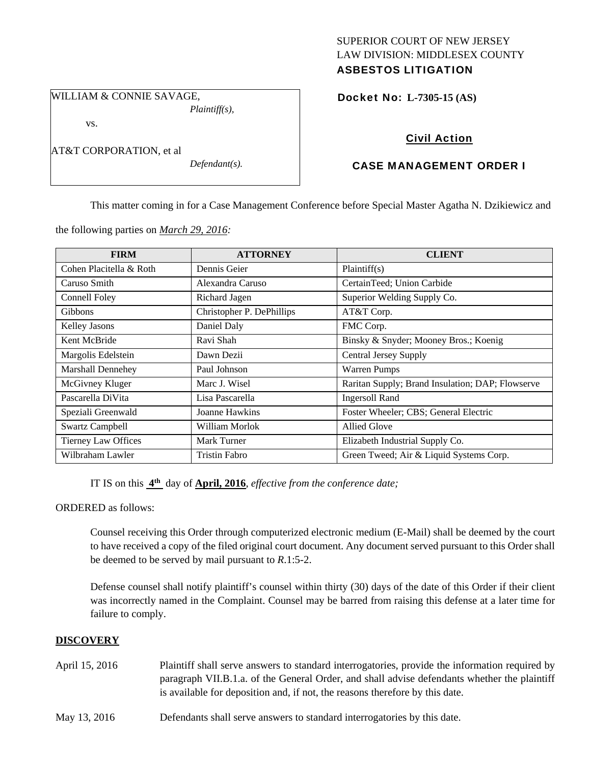## SUPERIOR COURT OF NEW JERSEY LAW DIVISION: MIDDLESEX COUNTY ASBESTOS LITIGATION

WILLIAM & CONNIE SAVAGE, *Plaintiff(s),* 

vs.

AT&T CORPORATION, et al

*Defendant(s).* 

Docket No: **L-7305-15 (AS)** 

# Civil Action

## CASE MANAGEMENT ORDER I

This matter coming in for a Case Management Conference before Special Master Agatha N. Dzikiewicz and

the following parties on *March 29, 2016:* 

| <b>FIRM</b>                | <b>ATTORNEY</b>           | <b>CLIENT</b>                                    |
|----------------------------|---------------------------|--------------------------------------------------|
| Cohen Placitella & Roth    | Dennis Geier              | Plaintiff(s)                                     |
| Caruso Smith               | Alexandra Caruso          | CertainTeed; Union Carbide                       |
| Connell Foley              | Richard Jagen             | Superior Welding Supply Co.                      |
| Gibbons                    | Christopher P. DePhillips | AT&T Corp.                                       |
| <b>Kelley Jasons</b>       | Daniel Daly               | FMC Corp.                                        |
| Kent McBride               | Ravi Shah                 | Binsky & Snyder; Mooney Bros.; Koenig            |
| Margolis Edelstein         | Dawn Dezii                | <b>Central Jersey Supply</b>                     |
| Marshall Dennehey          | Paul Johnson              | <b>Warren Pumps</b>                              |
| McGivney Kluger            | Marc J. Wisel             | Raritan Supply; Brand Insulation; DAP; Flowserve |
| Pascarella DiVita          | Lisa Pascarella           | <b>Ingersoll Rand</b>                            |
| Speziali Greenwald         | Joanne Hawkins            | Foster Wheeler; CBS; General Electric            |
| <b>Swartz Campbell</b>     | William Morlok            | <b>Allied Glove</b>                              |
| <b>Tierney Law Offices</b> | Mark Turner               | Elizabeth Industrial Supply Co.                  |
| Wilbraham Lawler           | Tristin Fabro             | Green Tweed; Air & Liquid Systems Corp.          |

IT IS on this **4th** day of **April, 2016**, *effective from the conference date;*

ORDERED as follows:

Counsel receiving this Order through computerized electronic medium (E-Mail) shall be deemed by the court to have received a copy of the filed original court document. Any document served pursuant to this Order shall be deemed to be served by mail pursuant to *R*.1:5-2.

Defense counsel shall notify plaintiff's counsel within thirty (30) days of the date of this Order if their client was incorrectly named in the Complaint. Counsel may be barred from raising this defense at a later time for failure to comply.

## **DISCOVERY**

- April 15, 2016 Plaintiff shall serve answers to standard interrogatories, provide the information required by paragraph VII.B.1.a. of the General Order, and shall advise defendants whether the plaintiff is available for deposition and, if not, the reasons therefore by this date.
- May 13, 2016 Defendants shall serve answers to standard interrogatories by this date.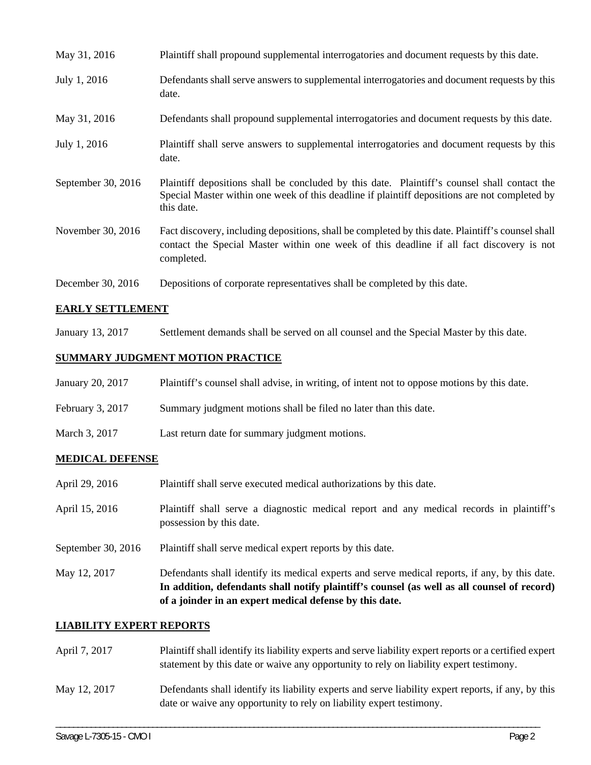| May 31, 2016       |            | Plaintiff shall propound supplemental interrogatories and document requests by this date.                                                                                                     |
|--------------------|------------|-----------------------------------------------------------------------------------------------------------------------------------------------------------------------------------------------|
| July 1, 2016       | date.      | Defendants shall serve answers to supplemental interrogatories and document requests by this                                                                                                  |
| May 31, 2016       |            | Defendants shall propound supplemental interrogatories and document requests by this date.                                                                                                    |
| July 1, 2016       | date.      | Plaintiff shall serve answers to supplemental interrogatories and document requests by this                                                                                                   |
| September 30, 2016 | this date. | Plaintiff depositions shall be concluded by this date. Plaintiff's counsel shall contact the<br>Special Master within one week of this deadline if plaintiff depositions are not completed by |
| November 30, 2016  | completed. | Fact discovery, including depositions, shall be completed by this date. Plaintiff's counsel shall<br>contact the Special Master within one week of this deadline if all fact discovery is not |
| December 30, 2016  |            | Depositions of corporate representatives shall be completed by this date.                                                                                                                     |

## **EARLY SETTLEMENT**

January 13, 2017 Settlement demands shall be served on all counsel and the Special Master by this date.

# **SUMMARY JUDGMENT MOTION PRACTICE**

| January 20, 2017   | Plaintiff's counsel shall advise, in writing, of intent not to oppose motions by this date. |
|--------------------|---------------------------------------------------------------------------------------------|
| February 3, $2017$ | Summary judgment motions shall be filed no later than this date.                            |
| March 3, 2017      | Last return date for summary judgment motions.                                              |

## **MEDICAL DEFENSE**

|                                      | Defendants shall identify its medical experts and serve medical reports, if any, by this date.<br>In addition, defendants shall notify plaintiff's counsel (as well as all counsel of record)<br>of a joinder in an expert medical defense by this date. |  |
|--------------------------------------|----------------------------------------------------------------------------------------------------------------------------------------------------------------------------------------------------------------------------------------------------------|--|
| September 30, $2016$<br>May 12, 2017 | Plaintiff shall serve medical expert reports by this date.                                                                                                                                                                                               |  |
| April 15, 2016                       | Plaintiff shall serve a diagnostic medical report and any medical records in plaintiff's<br>possession by this date.                                                                                                                                     |  |
| April 29, 2016                       | Plaintiff shall serve executed medical authorizations by this date.                                                                                                                                                                                      |  |

#### **LIABILITY EXPERT REPORTS**

| April 7, 2017 | Plaintiff shall identify its liability experts and serve liability expert reports or a certified expert<br>statement by this date or waive any opportunity to rely on liability expert testimony. |
|---------------|---------------------------------------------------------------------------------------------------------------------------------------------------------------------------------------------------|
| May 12, 2017  | Defendants shall identify its liability experts and serve liability expert reports, if any, by this<br>date or waive any opportunity to rely on liability expert testimony.                       |

\_\_\_\_\_\_\_\_\_\_\_\_\_\_\_\_\_\_\_\_\_\_\_\_\_\_\_\_\_\_\_\_\_\_\_\_\_\_\_\_\_\_\_\_\_\_\_\_\_\_\_\_\_\_\_\_\_\_\_\_\_\_\_\_\_\_\_\_\_\_\_\_\_\_\_\_\_\_\_\_\_\_\_\_\_\_\_\_\_\_\_\_\_\_\_\_\_\_\_\_\_\_\_\_\_\_\_\_\_\_